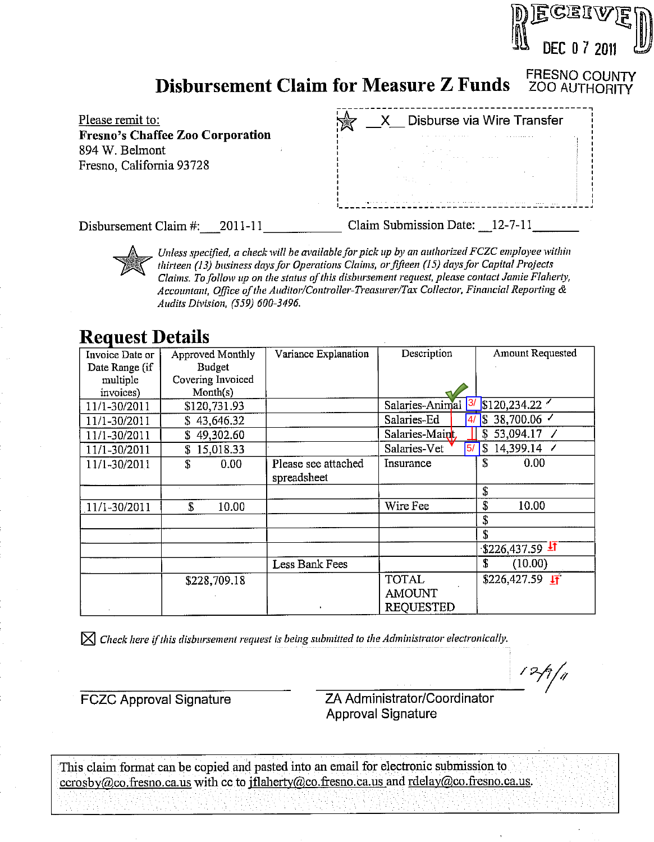#### FRESNO COUNTY<br>ZOO AUTHORITY **Disbursement Claim for Measure Z Funds**



Disbursement Claim #: 2011-11

Claim Submission Date: 12-7-11

DEC 0 7 2011

Unless specified, a check will be available for pick up by an authorized FCZC employee within thirteen (13) business days for Operations Claims, or fifteen (15) days for Capital Projects Claims. To follow up on the status of this disbursement request, please contact Jamie Flaherty, Accountant, Office of the Auditor/Controller-Treasurer/Tax Collector, Financial Reporting & Audits Division. (559) 600-3496.

## **Request Details**

| Invoice Date or | Approved Monthly  | Variance Explanation | Description                    | Amount Requested                |
|-----------------|-------------------|----------------------|--------------------------------|---------------------------------|
| Date Range (if  | <b>Budget</b>     |                      |                                |                                 |
| multiple        | Covering Invoiced |                      |                                |                                 |
| invoices)       | Month(s)          |                      |                                |                                 |
| 11/1-30/2011    | \$120,731.93      |                      | Salaries-Animal <sup>3/</sup>  | \$120,234.22                    |
| 11/1-30/2011    | 43,646.32<br>S.   |                      | Salaries-Ed<br>4/              | 38,700.06 $\overline{ }$<br>15  |
| 11/1-30/2011    | 49,302.60<br>S    |                      | Salaries-Maint,                | 53,094.17 /<br>S                |
| 11/1-30/2011    | 15,018.33<br>S    |                      | Salaries-Vet<br>$\overline{5}$ | 14,399.14 /<br>7\$              |
| 11/1-30/2011    | S<br>0.00         | Please see attached  | Insurance                      | S<br>0.00                       |
|                 |                   | spreadsheet          |                                |                                 |
|                 |                   |                      |                                | S                               |
| 11/1-30/2011    | \$<br>10.00       |                      | Wire Fee                       | \$<br>10.00                     |
|                 |                   |                      |                                | S                               |
|                 |                   |                      |                                | \$                              |
|                 |                   |                      |                                | $-$ \$226,437.59 $\overline{4}$ |
|                 |                   | Less Bank Fees       |                                | £<br>(10.00)                    |
|                 | \$228,709.18      |                      | <b>TOTAL</b>                   | $$226,427.59$ IT                |
|                 |                   |                      | <b>AMOUNT</b>                  |                                 |
|                 |                   |                      | <b>REQUESTED</b>               |                                 |

 $\boxtimes$  Check here if this disbursement request is being submitted to the Administrator electronically.

**FCZC Approval Signature** 

ZA Administrator/Coordinator **Approval Signature** 

 $12/7/4$ 

This claim format can be copied and pasted into an email for electronic submission to ccrosby@co.fresno.ca.us with cc to jflaherty@co.fresno.ca.us and rdelay@co.fresno.ca.us.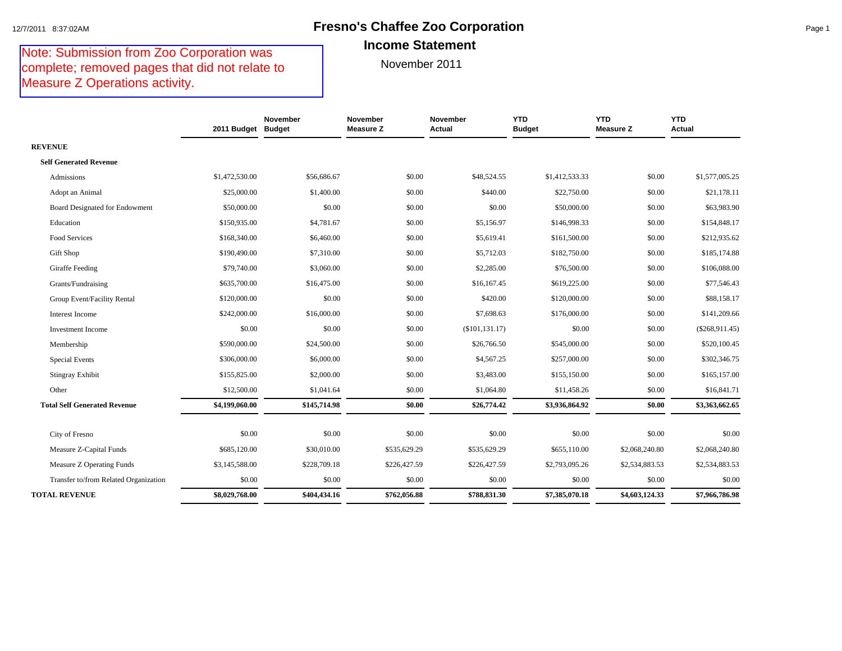#### 12/7/2011 8:37:02AM **Fresno's Chaffee Zoo Corporation** Page 1 **Income Statement**

#### Note: Submission from Zoo Corporation was complete; removed pages that did not relate to Measure Z Operations activity.

|                | November                                                             | November<br><b>Measure Z</b>                                                          | November<br>Actual                                               | <b>YTD</b><br><b>Budget</b>                                      | <b>YTD</b><br><b>Measure Z</b>                                       | <b>YTD</b><br>Actual                                                   |
|----------------|----------------------------------------------------------------------|---------------------------------------------------------------------------------------|------------------------------------------------------------------|------------------------------------------------------------------|----------------------------------------------------------------------|------------------------------------------------------------------------|
|                |                                                                      |                                                                                       |                                                                  |                                                                  |                                                                      |                                                                        |
|                |                                                                      |                                                                                       |                                                                  |                                                                  |                                                                      |                                                                        |
| \$1,472,530.00 | \$56,686.67                                                          | \$0.00                                                                                | \$48,524.55                                                      | \$1,412,533.33                                                   | \$0.00                                                               | \$1,577,005.25                                                         |
| \$25,000.00    | \$1,400.00                                                           | \$0.00                                                                                | \$440.00                                                         | \$22,750.00                                                      | \$0.00                                                               | \$21,178.11                                                            |
| \$50,000.00    | \$0.00                                                               | \$0.00                                                                                | \$0.00                                                           | \$50,000.00                                                      | \$0.00                                                               | \$63,983.90                                                            |
| \$150,935.00   | \$4,781.67                                                           | \$0.00                                                                                | \$5,156.97                                                       | \$146,998.33                                                     | \$0.00                                                               | \$154,848.17                                                           |
| \$168,340.00   | \$6,460.00                                                           | \$0.00                                                                                | \$5,619.41                                                       | \$161,500.00                                                     | \$0.00                                                               | \$212,935.62                                                           |
| \$190,490.00   | \$7,310.00                                                           | \$0.00                                                                                | \$5,712.03                                                       | \$182,750.00                                                     | \$0.00                                                               | \$185,174.88                                                           |
| \$79,740.00    | \$3,060.00                                                           | \$0.00                                                                                | \$2,285.00                                                       | \$76,500.00                                                      | \$0.00                                                               | \$106,088.00                                                           |
| \$635,700.00   | \$16,475.00                                                          | \$0.00                                                                                | \$16,167.45                                                      | \$619,225.00                                                     | \$0.00                                                               | \$77,546.43                                                            |
| \$120,000.00   | \$0.00                                                               | \$0.00                                                                                | \$420.00                                                         | \$120,000.00                                                     | \$0.00                                                               | \$88,158.17                                                            |
| \$242,000.00   | \$16,000.00                                                          | \$0.00                                                                                | \$7,698.63                                                       | \$176,000.00                                                     | \$0.00                                                               | \$141,209.66                                                           |
| \$0.00         | \$0.00                                                               | \$0.00                                                                                | (\$101, 131.17)                                                  | \$0.00                                                           | \$0.00                                                               | $(\$268,911.45)$                                                       |
| \$590,000.00   | \$24,500.00                                                          | \$0.00                                                                                | \$26,766.50                                                      | \$545,000.00                                                     | \$0.00                                                               | \$520,100.45                                                           |
| \$306,000.00   | \$6,000.00                                                           | \$0.00                                                                                | \$4,567.25                                                       | \$257,000.00                                                     | \$0.00                                                               | \$302,346.75                                                           |
| \$155,825.00   | \$2,000.00                                                           | \$0.00                                                                                | \$3,483.00                                                       | \$155,150.00                                                     | \$0.00                                                               | \$165,157.00                                                           |
| \$12,500.00    | \$1,041.64                                                           | \$0.00                                                                                | \$1,064.80                                                       | \$11,458.26                                                      | \$0.00                                                               | \$16,841.71                                                            |
| \$4,199,060.00 | \$145,714.98                                                         | \$0.00                                                                                | \$26,774.42                                                      | \$3,936,864.92                                                   | \$0.00                                                               | \$3,363,662.65                                                         |
|                |                                                                      |                                                                                       |                                                                  |                                                                  |                                                                      | \$0.00                                                                 |
|                |                                                                      |                                                                                       |                                                                  |                                                                  |                                                                      | \$2,068,240.80                                                         |
|                |                                                                      |                                                                                       |                                                                  |                                                                  |                                                                      |                                                                        |
|                |                                                                      |                                                                                       |                                                                  |                                                                  |                                                                      | \$2,534,883.53                                                         |
|                |                                                                      |                                                                                       |                                                                  |                                                                  |                                                                      | \$0.00<br>\$7,966,786.98                                               |
|                | \$0.00<br>\$685,120.00<br>\$3,145,588.00<br>\$0.00<br>\$8,029,768.00 | 2011 Budget Budget<br>\$0.00<br>\$30,010.00<br>\$228,709.18<br>\$0.00<br>\$404,434.16 | \$0.00<br>\$535,629.29<br>\$226,427.59<br>\$0.00<br>\$762,056.88 | \$0.00<br>\$535,629.29<br>\$226,427.59<br>\$0.00<br>\$788,831.30 | \$0.00<br>\$655,110.00<br>\$2,793,095.26<br>\$0.00<br>\$7,385,070.18 | \$0.00<br>\$2,068,240.80<br>\$2,534,883.53<br>\$0.00<br>\$4,603,124.33 |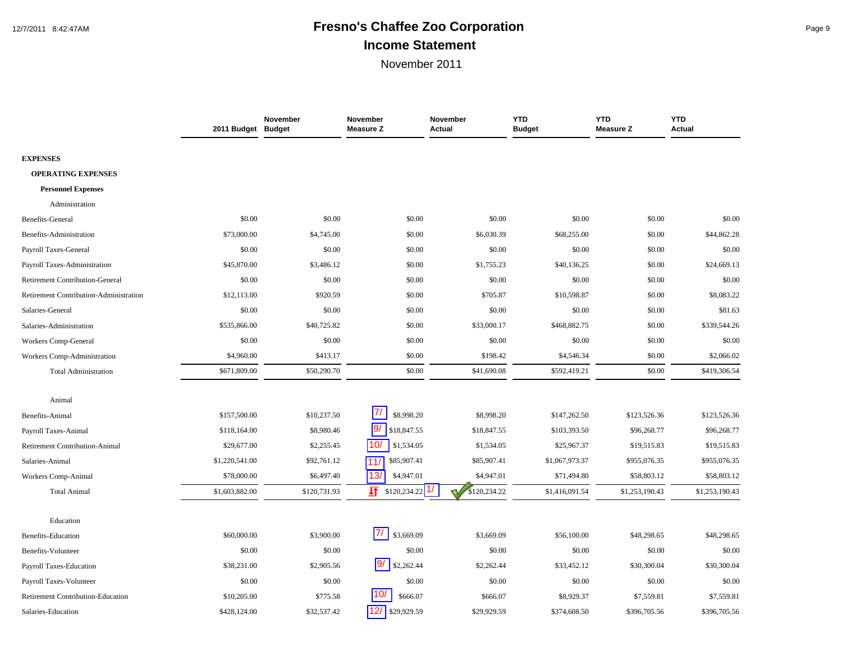# 12/7/2011 8:42:47AM **Fresno's Chaffee Zoo Corporation** Page 9 **Income Statement**

|                                        | 2011 Budget Budget | November     | November<br><b>Measure Z</b> | November<br>Actual | <b>YTD</b><br><b>Budget</b> | <b>YTD</b><br><b>Measure Z</b> | <b>YTD</b><br>Actual |
|----------------------------------------|--------------------|--------------|------------------------------|--------------------|-----------------------------|--------------------------------|----------------------|
| <b>EXPENSES</b>                        |                    |              |                              |                    |                             |                                |                      |
| <b>OPERATING EXPENSES</b>              |                    |              |                              |                    |                             |                                |                      |
| <b>Personnel Expenses</b>              |                    |              |                              |                    |                             |                                |                      |
| Administration                         |                    |              |                              |                    |                             |                                |                      |
| Benefits-General                       | \$0.00             | \$0.00       | \$0.00                       | \$0.00             | \$0.00                      | \$0.00                         | \$0.00               |
| Benefits-Administration                | \$73,000.00        | \$4,745.00   | \$0.00                       | \$6,030.39         | \$68,255.00                 | \$0.00                         | \$44,862.28          |
| Payroll Taxes-General                  | \$0.00             | \$0.00       | \$0.00                       | \$0.00             | \$0.00                      | \$0.00                         | \$0.00               |
| Payroll Taxes-Administration           | \$45,870.00        | \$3,486.12   | \$0.00                       | \$1,755.23         | \$40,136.25                 | \$0.00                         | \$24,669.13          |
| <b>Retirement Contribution-General</b> | \$0.00             | \$0.00       | \$0.00                       | \$0.00             | \$0.00                      | \$0.00                         | \$0.00               |
| Retirement Contribution-Administration | \$12,113.00        | \$920.59     | \$0.00                       | \$705.87           | \$10,598.87                 | \$0.00                         | \$8,083.22           |
| Salaries-General                       | \$0.00             | \$0.00       | \$0.00                       | \$0.00             | \$0.00                      | \$0.00                         | \$81.63              |
| Salaries-Administration                | \$535,866.00       | \$40,725.82  | \$0.00                       | \$33,000.17        | \$468,882.75                | \$0.00                         | \$339,544.26         |
| Workers Comp-General                   | \$0.00             | \$0.00       | \$0.00                       | \$0.00             | \$0.00                      | \$0.00                         | \$0.00               |
| Workers Comp-Administration            | \$4,960.00         | \$413.17     | \$0.00                       | \$198.42           | \$4,546.34                  | \$0.00                         | \$2,066.02           |
| <b>Total Administration</b>            | \$671,809.00       | \$50,290.70  | \$0.00                       | \$41,690.08        | \$592,419.21                | \$0.00                         | \$419,306.54         |
| Animal                                 |                    |              |                              |                    |                             |                                |                      |
| Benefits-Animal                        | \$157,500.00       | \$10,237.50  | $\prime\prime$<br>\$8,998.20 | \$8,998.20         | \$147,262.50                | \$123,526.36                   | \$123,526.36         |
| Payroll Taxes-Animal                   | \$118,164.00       | \$8,980.46   | 9/<br>\$18,847.55            | \$18,847.55        | \$103,393.50                | \$96,268.77                    | \$96,268.77          |
| <b>Retirement Contribution-Animal</b>  | \$29,677.00        | \$2,255.45   | 10/<br>\$1,534.05            | \$1,534.05         | \$25,967.37                 | \$19,515.83                    | \$19,515.83          |
| Salaries-Animal                        | \$1,220,541.00     | \$92,761.12  | \$85,907.41<br>11/           | \$85,907.41        | \$1,067,973.37              | \$955,076.35                   | \$955,076.35         |
| Workers Comp-Animal                    | \$78,000.00        | \$6,497.40   | 13/<br>\$4,947.01            | \$4,947.01         | \$71,494.80                 | \$58,803.12                    | \$58,803.12          |
| <b>Total Animal</b>                    | \$1,603,882.00     | \$120,731.93 | 圷<br>\$120,234.22            | \$120,234.22       | \$1,416,091.54              | \$1,253,190.43                 | \$1,253,190.43       |
| Education                              |                    |              |                              |                    |                             |                                |                      |
| <b>Benefits-Education</b>              | \$60,000.00        | \$3,900.00   | 71<br>\$3,669.09             | \$3,669.09         | \$56,100.00                 | \$48,298.65                    | \$48,298.65          |
| Benefits-Volunteer                     | \$0.00             | \$0.00       | \$0.00                       | \$0.00             | \$0.00                      | \$0.00                         | \$0.00               |
| Payroll Taxes-Education                | \$38,231.00        | \$2,905.56   | 9/<br>\$2,262.44             | \$2,262.44         | \$33,452.12                 | \$30,300.04                    | \$30,300.04          |
| Payroll Taxes-Volunteer                | \$0.00             | \$0.00       | \$0.00                       | \$0.00             | \$0.00                      | \$0.00                         | \$0.00               |
| Retirement Contribution-Education      | \$10,205.00        | \$775.58     | 10,<br>\$666.07              | \$666.07           | \$8,929.37                  | \$7,559.81                     | \$7,559.81           |
| Salaries-Education                     | \$428,124.00       | \$32,537.42  | 12/<br>\$29,929.59           | \$29,929.59        | \$374,608.50                | \$396,705.56                   | \$396,705.56         |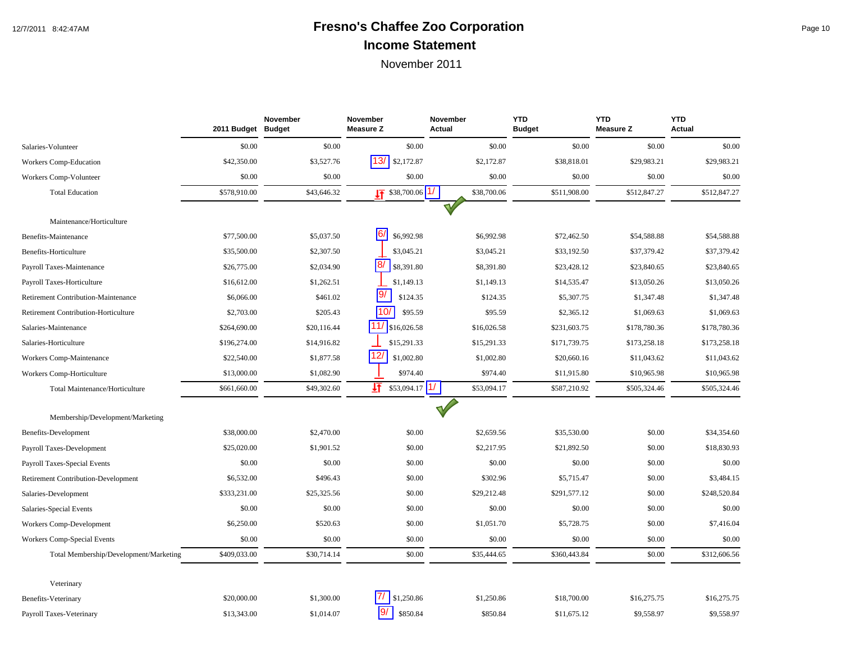# 12/7/2011 8:42:47AM **Fresno's Chaffee Zoo Corporation** Page 10 **Income Statement**

|                                        | 2011 Budget Budget | <b>November</b> | <b>November</b><br><b>Measure Z</b> | <b>November</b><br>Actual    | <b>YTD</b><br><b>Budget</b> | <b>YTD</b><br><b>Measure Z</b> | <b>YTD</b><br><b>Actual</b> |
|----------------------------------------|--------------------|-----------------|-------------------------------------|------------------------------|-----------------------------|--------------------------------|-----------------------------|
| Salaries-Volunteer                     | \$0.00             | \$0.00          | \$0.00                              | \$0.00                       | \$0.00                      | \$0.00                         | \$0.00                      |
| Workers Comp-Education                 | \$42,350.00        | \$3,527.76      | 13/<br>\$2,172.87                   | \$2,172.87                   | \$38,818.01                 | \$29,983.21                    | \$29,983.21                 |
| Workers Comp-Volunteer                 | \$0.00             | \$0.00          | \$0.00                              | \$0.00                       | \$0.00                      | \$0.00                         | \$0.00                      |
| <b>Total Education</b>                 | \$578,910.00       | \$43,646.32     | $\sqrt{17}$ \$38,700.06 $\sqrt{17}$ | \$38,700.06                  | \$511,908.00                | \$512,847.27                   | \$512,847.27                |
|                                        |                    |                 |                                     |                              |                             |                                |                             |
| Maintenance/Horticulture               |                    |                 |                                     |                              |                             |                                |                             |
| Benefits-Maintenance                   | \$77,500.00        | \$5,037.50      | 6/<br>\$6,992.98                    | \$6,992.98                   | \$72,462.50                 | \$54,588.88                    | \$54,588.88                 |
| Benefits-Horticulture                  | \$35,500.00        | \$2,307.50      | \$3,045.21                          | \$3,045.21                   | \$33,192.50                 | \$37,379.42                    | \$37,379.42                 |
| Payroll Taxes-Maintenance              | \$26,775.00        | \$2,034.90      | 8/<br>\$8,391.80                    | \$8,391.80                   | \$23,428.12                 | \$23,840.65                    | \$23,840.65                 |
| Payroll Taxes-Horticulture             | \$16,612.00        | \$1,262.51      | \$1,149.13                          | \$1,149.13                   | \$14,535.47                 | \$13,050.26                    | \$13,050.26                 |
| Retirement Contribution-Maintenance    | \$6,066.00         | \$461.02        | 19/<br>\$124.35                     | \$124.35                     | \$5,307.75                  | \$1,347.48                     | \$1,347.48                  |
| Retirement Contribution-Horticulture   | \$2,703.00         | \$205.43        | 10/<br>\$95.59                      | \$95.59                      | \$2,365.12                  | \$1,069.63                     | \$1,069.63                  |
| Salaries-Maintenance                   | \$264,690.00       | \$20,116.44     | $11/$ \$16,026.58                   | \$16,026.58                  | \$231,603.75                | \$178,780.36                   | \$178,780.36                |
| Salaries-Horticulture                  | \$196,274.00       | \$14,916.82     | \$15,291.33                         | \$15,291.33                  | \$171,739.75                | \$173,258.18                   | \$173,258.18                |
| Workers Comp-Maintenance               | \$22,540.00        | \$1,877.58      | 12/<br>\$1,002.80                   | \$1,002.80                   | \$20,660.16                 | \$11,043.62                    | \$11,043.62                 |
| Workers Comp-Horticulture              | \$13,000.00        | \$1,082.90      | \$974.40                            | \$974.40                     | \$11,915.80                 | \$10,965.98                    | \$10,965.98                 |
| Total Maintenance/Horticulture         | \$661,660.00       | \$49,302.60     | 圩<br>\$53,094.17                    | $\frac{1}{2}$<br>\$53,094.17 | \$587,210.92                | \$505,324.46                   | \$505,324.46                |
| Membership/Development/Marketing       |                    |                 |                                     |                              |                             |                                |                             |
| Benefits-Development                   | \$38,000.00        | \$2,470.00      | \$0.00                              | \$2,659.56                   | \$35,530.00                 | \$0.00                         | \$34,354.60                 |
| Payroll Taxes-Development              | \$25,020.00        | \$1,901.52      | \$0.00                              | \$2,217.95                   | \$21,892.50                 | \$0.00                         | \$18,830.93                 |
| Payroll Taxes-Special Events           | \$0.00             | \$0.00          | \$0.00                              | \$0.00                       | \$0.00                      | \$0.00                         | \$0.00                      |
| Retirement Contribution-Development    | \$6,532.00         | \$496.43        | \$0.00                              | \$302.96                     | \$5,715.47                  | \$0.00                         | \$3,484.15                  |
| Salaries-Development                   | \$333,231.00       | \$25,325.56     | \$0.00                              | \$29,212.48                  | \$291,577.12                | \$0.00                         | \$248,520.84                |
| Salaries-Special Events                | \$0.00             | \$0.00          | \$0.00                              | \$0.00                       | \$0.00                      | \$0.00                         | \$0.00                      |
| Workers Comp-Development               | \$6,250.00         | \$520.63        | \$0.00                              | \$1,051.70                   | \$5,728.75                  | \$0.00                         | \$7,416.04                  |
| Workers Comp-Special Events            | \$0.00             | \$0.00          | \$0.00                              | \$0.00                       | \$0.00                      | \$0.00                         | \$0.00                      |
|                                        | \$409,033.00       | \$30,714.14     | \$0.00                              | \$35,444.65                  | \$360,443.84                | \$0.00                         | \$312,606.56                |
| Total Membership/Development/Marketing |                    |                 |                                     |                              |                             |                                |                             |
| Veterinary                             |                    |                 |                                     |                              |                             |                                |                             |
| <b>Benefits-Veterinary</b>             | \$20,000.00        | \$1,300.00      | \$1,250.86                          | \$1,250.86                   | \$18,700.00                 | \$16,275.75                    | \$16,275.75                 |
| Payroll Taxes-Veterinary               | \$13,343.00        | \$1,014.07      | 9/<br>\$850.84                      | \$850.84                     | \$11,675.12                 | \$9,558.97                     | \$9,558.97                  |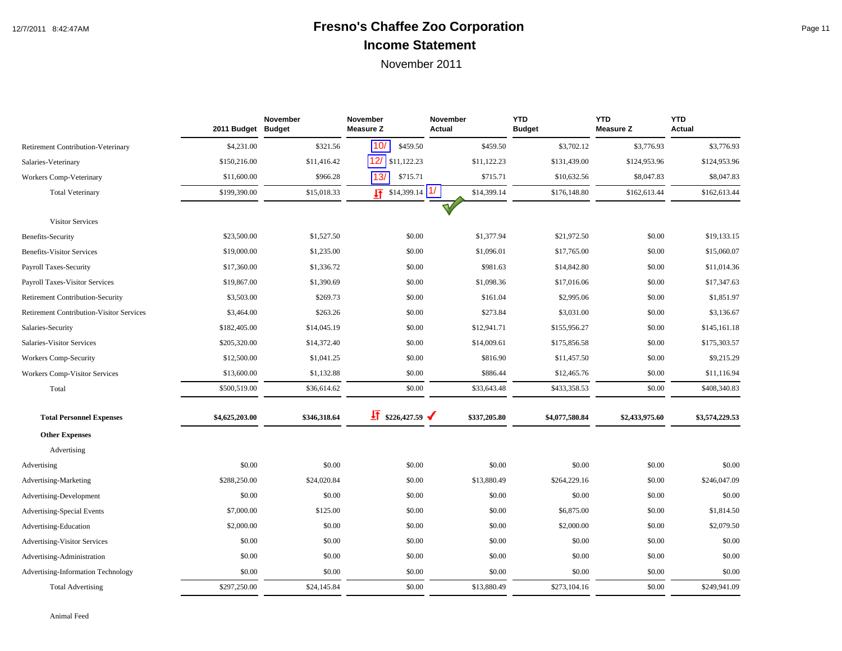# 12/7/2011 8:42:47AM **Fresno's Chaffee Zoo Corporation** Page 11 **Income Statement**

|                                                 | 2011 Budget Budget | November     | November<br><b>Measure Z</b> | November<br>Actual        | <b>YTD</b><br><b>Budget</b> | <b>YTD</b><br><b>Measure Z</b> | <b>YTD</b><br><b>Actual</b> |
|-------------------------------------------------|--------------------|--------------|------------------------------|---------------------------|-----------------------------|--------------------------------|-----------------------------|
| <b>Retirement Contribution-Veterinary</b>       | \$4,231.00         | \$321.56     | 10/<br>\$459.50              | \$459.50                  | \$3,702.12                  | \$3,776.93                     | \$3,776.93                  |
| Salaries-Veterinary                             | \$150,216.00       | \$11,416.42  | 12/<br>\$11,122.23           | \$11,122.23               | \$131,439.00                | \$124,953.96                   | \$124,953.96                |
| Workers Comp-Veterinary                         | \$11,600.00        | \$966.28     | 13/<br>\$715.71              | \$715.71                  | \$10,632.56                 | \$8,047.83                     | \$8,047.83                  |
| <b>Total Veterinary</b>                         | \$199,390.00       | \$15,018.33  | $\sqrt{11}$ \$14,399.14      | $\vert$ 1/<br>\$14,399.14 | \$176,148.80                | \$162,613.44                   | \$162,613.44                |
|                                                 |                    |              |                              | $\mathbf v$               |                             |                                |                             |
| <b>Visitor Services</b>                         |                    |              |                              |                           |                             |                                |                             |
| Benefits-Security                               | \$23,500.00        | \$1,527.50   | \$0.00                       | \$1,377.94                | \$21,972.50                 | \$0.00                         | \$19,133.15                 |
| <b>Benefits-Visitor Services</b>                | \$19,000.00        | \$1,235.00   | \$0.00                       | \$1,096.01                | \$17,765.00                 | \$0.00                         | \$15,060.07                 |
| Payroll Taxes-Security                          | \$17,360.00        | \$1,336.72   | \$0.00                       | \$981.63                  | \$14,842.80                 | \$0.00                         | \$11,014.36                 |
| <b>Payroll Taxes-Visitor Services</b>           | \$19,867.00        | \$1,390.69   | \$0.00                       | \$1,098.36                | \$17,016.06                 | \$0.00                         | \$17,347.63                 |
| <b>Retirement Contribution-Security</b>         | \$3,503.00         | \$269.73     | \$0.00                       | \$161.04                  | \$2,995.06                  | \$0.00                         | \$1,851.97                  |
| <b>Retirement Contribution-Visitor Services</b> | \$3,464.00         | \$263.26     | \$0.00                       | \$273.84                  | \$3,031.00                  | \$0.00                         | \$3,136.67                  |
| Salaries-Security                               | \$182,405.00       | \$14,045.19  | \$0.00                       | \$12,941.71               | \$155,956.27                | \$0.00                         | \$145,161.18                |
| Salaries-Visitor Services                       | \$205,320.00       | \$14,372.40  | \$0.00                       | \$14,009.61               | \$175,856.58                | \$0.00                         | \$175,303.57                |
| Workers Comp-Security                           | \$12,500.00        | \$1,041.25   | \$0.00                       | \$816.90                  | \$11,457.50                 | \$0.00                         | \$9,215.29                  |
| Workers Comp-Visitor Services                   | \$13,600.00        | \$1,132.88   | \$0.00                       | \$886.44                  | \$12,465.76                 | \$0.00                         | \$11,116.94                 |
| Total                                           | \$500,519.00       | \$36,614.62  | \$0.00                       | \$33,643.48               | \$433,358.53                | \$0.00                         | \$408,340.83                |
| <b>Total Personnel Expenses</b>                 | \$4,625,203.00     | \$346,318.64 | $\frac{1}{21}$ \$226,427.59  | \$337,205.80              | \$4,077,580.84              | \$2,433,975.60                 | \$3,574,229.53              |
| <b>Other Expenses</b>                           |                    |              |                              |                           |                             |                                |                             |
| Advertising                                     |                    |              |                              |                           |                             |                                |                             |
| Advertising                                     | \$0.00             | \$0.00       | \$0.00                       | \$0.00                    | \$0.00                      | \$0.00                         | \$0.00                      |
| Advertising-Marketing                           | \$288,250.00       | \$24,020.84  | \$0.00                       | \$13,880.49               | \$264,229.16                | \$0.00                         | \$246,047.09                |
| Advertising-Development                         | \$0.00             | \$0.00       | \$0.00                       | \$0.00                    | \$0.00                      | \$0.00                         | \$0.00                      |
| <b>Advertising-Special Events</b>               | \$7,000.00         | \$125.00     | \$0.00                       | \$0.00                    | \$6,875.00                  | \$0.00                         | \$1,814.50                  |
| Advertising-Education                           | \$2,000.00         | \$0.00       | \$0.00                       | \$0.00                    | \$2,000.00                  | \$0.00                         | \$2,079.50                  |
| Advertising-Visitor Services                    | \$0.00             | \$0.00       | \$0.00                       | \$0.00                    | \$0.00                      | \$0.00                         | \$0.00                      |
| Advertising-Administration                      | \$0.00             | \$0.00       | \$0.00                       | \$0.00                    | \$0.00                      | \$0.00                         | \$0.00                      |
| Advertising-Information Technology              | \$0.00             | \$0.00       | \$0.00                       | \$0.00                    | \$0.00                      | \$0.00                         | \$0.00                      |
| <b>Total Advertising</b>                        | \$297,250.00       | \$24,145.84  | \$0.00                       | \$13,880.49               | \$273,104.16                | \$0.00                         | \$249,941.09                |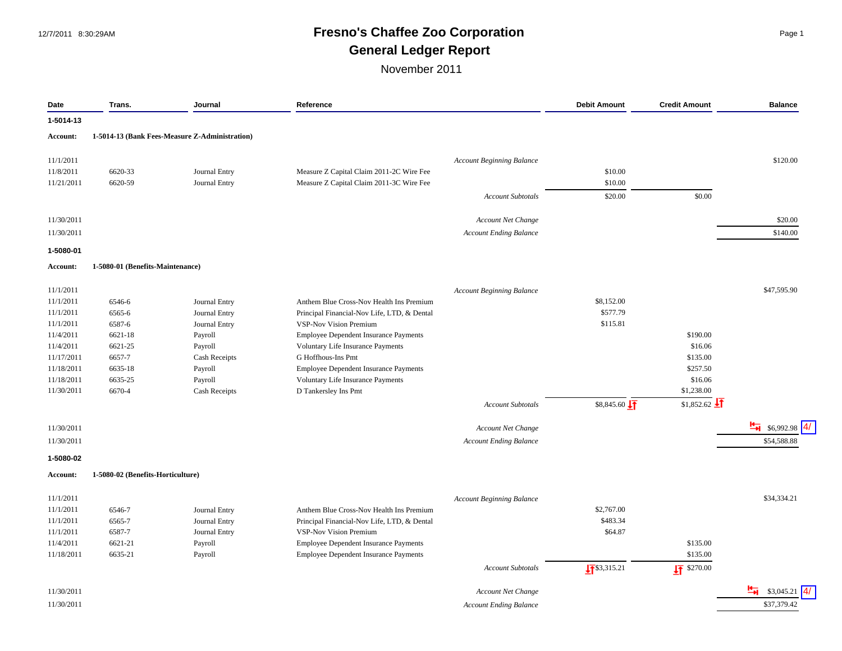# 12/7/2011 8:30:29AM **Fresno's Chaffee Zoo Corporation** Page 1 **General Ledger Report**

| Date            | Trans.                            | Journal                                        | Reference                                    |                                  | <b>Debit Amount</b>      | <b>Credit Amount</b>               | <b>Balance</b>           |
|-----------------|-----------------------------------|------------------------------------------------|----------------------------------------------|----------------------------------|--------------------------|------------------------------------|--------------------------|
| 1-5014-13       |                                   |                                                |                                              |                                  |                          |                                    |                          |
| <b>Account:</b> |                                   | 1-5014-13 (Bank Fees-Measure Z-Administration) |                                              |                                  |                          |                                    |                          |
| 11/1/2011       |                                   |                                                |                                              | <b>Account Beginning Balance</b> |                          |                                    | \$120.00                 |
| 11/8/2011       | 6620-33                           | Journal Entry                                  | Measure Z Capital Claim 2011-2C Wire Fee     |                                  | \$10.00                  |                                    |                          |
| 11/21/2011      | 6620-59                           | Journal Entry                                  | Measure Z Capital Claim 2011-3C Wire Fee     |                                  | \$10.00                  |                                    |                          |
|                 |                                   |                                                |                                              | <b>Account Subtotals</b>         | \$20.00                  | \$0.00                             |                          |
| 11/30/2011      |                                   |                                                |                                              | Account Net Change               |                          |                                    | \$20.00                  |
|                 |                                   |                                                |                                              |                                  |                          |                                    |                          |
| 11/30/2011      |                                   |                                                |                                              | <b>Account Ending Balance</b>    |                          |                                    | \$140.00                 |
| 1-5080-01       |                                   |                                                |                                              |                                  |                          |                                    |                          |
| <b>Account:</b> | 1-5080-01 (Benefits-Maintenance)  |                                                |                                              |                                  |                          |                                    |                          |
| 11/1/2011       |                                   |                                                |                                              | <b>Account Beginning Balance</b> |                          |                                    | \$47,595.90              |
| 11/1/2011       | 6546-6                            | Journal Entry                                  | Anthem Blue Cross-Nov Health Ins Premium     |                                  | \$8,152.00               |                                    |                          |
| 11/1/2011       | 6565-6                            | Journal Entry                                  | Principal Financial-Nov Life, LTD, & Dental  |                                  | \$577.79                 |                                    |                          |
| 11/1/2011       | 6587-6                            | Journal Entry                                  | <b>VSP-Nov Vision Premium</b>                |                                  | \$115.81                 |                                    |                          |
| 11/4/2011       | 6621-18                           | Payroll                                        | <b>Employee Dependent Insurance Payments</b> |                                  |                          | \$190.00                           |                          |
| 11/4/2011       | 6621-25                           | Payroll                                        | Voluntary Life Insurance Payments            |                                  |                          | \$16.06                            |                          |
| 11/17/2011      | 6657-7                            | Cash Receipts                                  | <b>G</b> Hoffhous-Ins Pmt                    |                                  |                          | \$135.00                           |                          |
| 11/18/2011      | 6635-18                           | Payroll                                        | Employee Dependent Insurance Payments        |                                  |                          | \$257.50                           |                          |
| 11/18/2011      | 6635-25                           | Payroll                                        | Voluntary Life Insurance Payments            |                                  |                          | \$16.06                            |                          |
| 11/30/2011      | 6670-4                            | Cash Receipts                                  | D Tankersley Ins Pmt                         |                                  |                          | \$1,238.00                         |                          |
|                 |                                   |                                                |                                              | <b>Account Subtotals</b>         | $$8,845.60 \downarrow T$ | $$1,852.62$ $\downarrow$ 1         |                          |
| 11/30/2011      |                                   |                                                |                                              | Account Net Change               |                          |                                    | $\frac{H}{H}$ \$6,992.98 |
| 11/30/2011      |                                   |                                                |                                              | <b>Account Ending Balance</b>    |                          |                                    | \$54,588.88              |
| 1-5080-02       |                                   |                                                |                                              |                                  |                          |                                    |                          |
| <b>Account:</b> | 1-5080-02 (Benefits-Horticulture) |                                                |                                              |                                  |                          |                                    |                          |
|                 |                                   |                                                |                                              |                                  |                          |                                    |                          |
| 11/1/2011       |                                   |                                                |                                              | <b>Account Beginning Balance</b> |                          |                                    | \$34,334.21              |
| 11/1/2011       | 6546-7                            | Journal Entry                                  | Anthem Blue Cross-Nov Health Ins Premium     |                                  | \$2,767.00               |                                    |                          |
| 11/1/2011       | 6565-7                            | Journal Entry                                  | Principal Financial-Nov Life, LTD, & Dental  |                                  | \$483.34                 |                                    |                          |
| 11/1/2011       | 6587-7                            | Journal Entry                                  | VSP-Nov Vision Premium                       |                                  | \$64.87                  |                                    |                          |
| 11/4/2011       | 6621-21                           | Payroll                                        | Employee Dependent Insurance Payments        |                                  |                          | \$135.00                           |                          |
| 11/18/2011      | 6635-21                           | Payroll                                        | <b>Employee Dependent Insurance Payments</b> | <b>Account Subtotals</b>         | $\sqrt{15}$ \$3,315.21   | \$135.00<br>$\frac{1}{2}$ \$270.00 |                          |
|                 |                                   |                                                |                                              |                                  |                          |                                    |                          |
| 11/30/2011      |                                   |                                                |                                              | <b>Account Net Change</b>        |                          |                                    | 런<br>\$3,045.21          |
| 11/30/2011      |                                   |                                                |                                              | <b>Account Ending Balance</b>    |                          |                                    | \$37,379.42              |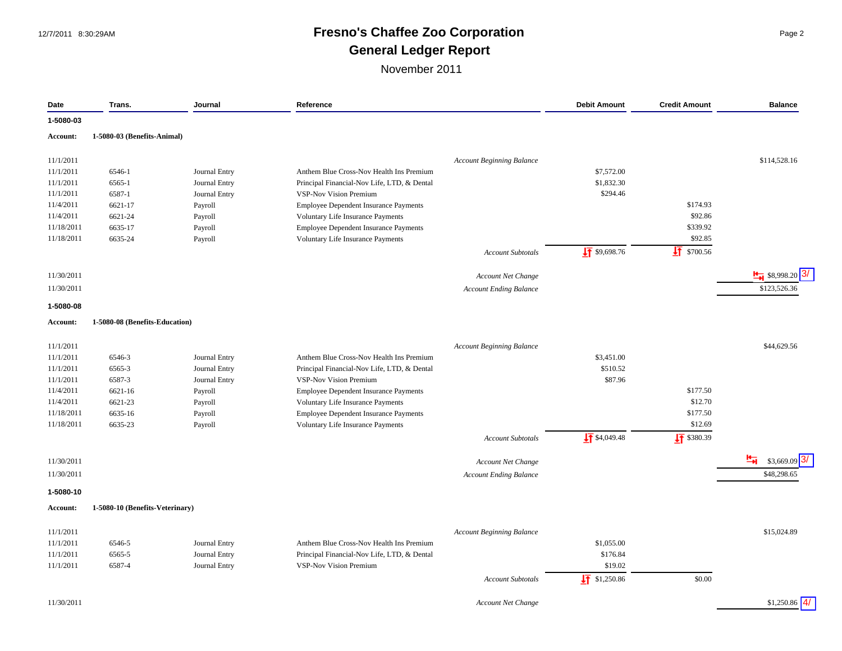### 12/7/2011 8:30:29AM **Fresno's Chaffee Zoo Corporation** Page 2 **General Ledger Report**

| Date       | Trans.                          | Journal       | Reference                                    |                                  | <b>Debit Amount</b>      | <b>Credit Amount</b>   | <b>Balance</b>           |
|------------|---------------------------------|---------------|----------------------------------------------|----------------------------------|--------------------------|------------------------|--------------------------|
| 1-5080-03  |                                 |               |                                              |                                  |                          |                        |                          |
| Account:   | 1-5080-03 (Benefits-Animal)     |               |                                              |                                  |                          |                        |                          |
|            |                                 |               |                                              |                                  |                          |                        |                          |
| 11/1/2011  |                                 |               |                                              | <b>Account Beginning Balance</b> |                          |                        | \$114,528.16             |
| 11/1/2011  | 6546-1                          | Journal Entry | Anthem Blue Cross-Nov Health Ins Premium     |                                  | \$7,572.00               |                        |                          |
| 11/1/2011  | 6565-1                          | Journal Entry | Principal Financial-Nov Life, LTD, & Dental  |                                  | \$1,832.30               |                        |                          |
| 11/1/2011  | 6587-1                          | Journal Entry | <b>VSP-Nov Vision Premium</b>                |                                  | \$294.46                 |                        |                          |
| 11/4/2011  | 6621-17                         | Payroll       | <b>Employee Dependent Insurance Payments</b> |                                  |                          | \$174.93               |                          |
| 11/4/2011  | 6621-24                         | Payroll       | Voluntary Life Insurance Payments            |                                  |                          | \$92.86                |                          |
| 11/18/2011 | 6635-17                         | Payroll       | Employee Dependent Insurance Payments        |                                  |                          | \$339.92               |                          |
| 11/18/2011 | 6635-24                         | Payroll       | Voluntary Life Insurance Payments            |                                  |                          | \$92.85                |                          |
|            |                                 |               |                                              | <b>Account Subtotals</b>         | $\sqrt{11}$ \$9,698.76   | $\frac{1}{2}$ \$700.56 |                          |
| 11/30/2011 |                                 |               |                                              | Account Net Change               |                          |                        | $\frac{1}{2}$ \$8,998.20 |
| 11/30/2011 |                                 |               |                                              | <b>Account Ending Balance</b>    |                          |                        | \$123,526.36             |
| 1-5080-08  |                                 |               |                                              |                                  |                          |                        |                          |
| Account:   | 1-5080-08 (Benefits-Education)  |               |                                              |                                  |                          |                        |                          |
|            |                                 |               |                                              |                                  |                          |                        |                          |
| 11/1/2011  |                                 |               |                                              | <b>Account Beginning Balance</b> |                          |                        | \$44,629.56              |
| 11/1/2011  | 6546-3                          | Journal Entry | Anthem Blue Cross-Nov Health Ins Premium     |                                  | \$3,451.00               |                        |                          |
| 11/1/2011  | 6565-3                          | Journal Entry | Principal Financial-Nov Life, LTD, & Dental  |                                  | \$510.52                 |                        |                          |
| 11/1/2011  | 6587-3                          | Journal Entry | <b>VSP-Nov Vision Premium</b>                |                                  | \$87.96                  |                        |                          |
| 11/4/2011  | 6621-16                         | Payroll       | Employee Dependent Insurance Payments        |                                  |                          | \$177.50               |                          |
| 11/4/2011  | 6621-23                         | Payroll       | Voluntary Life Insurance Payments            |                                  |                          | \$12.70                |                          |
| 11/18/2011 | 6635-16                         | Payroll       | Employee Dependent Insurance Payments        |                                  |                          | \$177.50               |                          |
| 11/18/2011 | 6635-23                         | Payroll       | Voluntary Life Insurance Payments            |                                  |                          | \$12.69                |                          |
|            |                                 |               |                                              | <b>Account Subtotals</b>         | $\frac{1}{2}$ \$4,049.48 | $\sqrt{11}$ \$380.39   |                          |
| 11/30/2011 |                                 |               |                                              | <b>Account Net Change</b>        |                          |                        | 부<br>\$3,669.09          |
| 11/30/2011 |                                 |               |                                              | <b>Account Ending Balance</b>    |                          |                        | \$48,298.65              |
| 1-5080-10  |                                 |               |                                              |                                  |                          |                        |                          |
| Account:   | 1-5080-10 (Benefits-Veterinary) |               |                                              |                                  |                          |                        |                          |
|            |                                 |               |                                              |                                  |                          |                        | \$15,024.89              |
| 11/1/2011  |                                 |               |                                              | <b>Account Beginning Balance</b> |                          |                        |                          |
| 11/1/2011  | 6546-5                          | Journal Entry | Anthem Blue Cross-Nov Health Ins Premium     |                                  | \$1,055.00               |                        |                          |
| 11/1/2011  | 6565-5                          | Journal Entry | Principal Financial-Nov Life, LTD, & Dental  |                                  | \$176.84                 |                        |                          |
| 11/1/2011  | 6587-4                          | Journal Entry | <b>VSP-Nov Vision Premium</b>                |                                  | \$19.02                  |                        |                          |
|            |                                 |               |                                              | <b>Account Subtotals</b>         | $\sqrt{11}$ \$1,250.86   | \$0.00                 |                          |
| 11/30/2011 |                                 |               |                                              | <b>Account Net Change</b>        |                          |                        | $$1,250.86$ 4/           |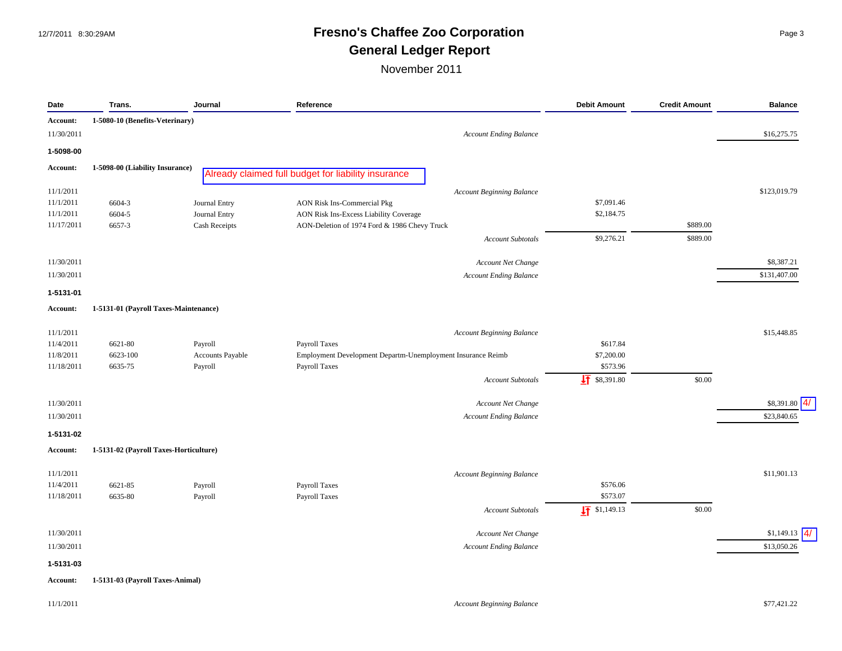### 12/7/2011 8:30:29AM **Fresno's Chaffee Zoo Corporation** Page 3 **General Ledger Report**

| Date            | Trans.                                 | Journal          | Reference                                                   | <b>Debit Amount</b>      | <b>Credit Amount</b> | <b>Balance</b> |
|-----------------|----------------------------------------|------------------|-------------------------------------------------------------|--------------------------|----------------------|----------------|
| Account:        | 1-5080-10 (Benefits-Veterinary)        |                  |                                                             |                          |                      |                |
| 11/30/2011      |                                        |                  | <b>Account Ending Balance</b>                               |                          |                      | \$16,275.75    |
| 1-5098-00       |                                        |                  |                                                             |                          |                      |                |
| Account:        | 1-5098-00 (Liability Insurance)        |                  | Already claimed full budget for liability insurance         |                          |                      |                |
| 11/1/2011       |                                        |                  | <b>Account Beginning Balance</b>                            |                          |                      | \$123,019.79   |
| 11/1/2011       | 6604-3                                 | Journal Entry    | <b>AON Risk Ins-Commercial Pkg</b>                          | \$7,091.46               |                      |                |
| 11/1/2011       | 6604-5                                 | Journal Entry    | AON Risk Ins-Excess Liability Coverage                      | \$2,184.75               |                      |                |
| 11/17/2011      | 6657-3                                 | Cash Receipts    | AON-Deletion of 1974 Ford & 1986 Chevy Truck                |                          | \$889.00             |                |
|                 |                                        |                  | Account Subtotals                                           | \$9,276.21               | \$889.00             |                |
| 11/30/2011      |                                        |                  | Account Net Change                                          |                          |                      | \$8,387.21     |
| 11/30/2011      |                                        |                  | <b>Account Ending Balance</b>                               |                          |                      | \$131,407.00   |
| 1-5131-01       |                                        |                  |                                                             |                          |                      |                |
| <b>Account:</b> | 1-5131-01 (Payroll Taxes-Maintenance)  |                  |                                                             |                          |                      |                |
| 11/1/2011       |                                        |                  | <b>Account Beginning Balance</b>                            |                          |                      | \$15,448.85    |
| 11/4/2011       | 6621-80                                | Payroll          | Payroll Taxes                                               | \$617.84                 |                      |                |
| 11/8/2011       | 6623-100                               | Accounts Payable | Employment Development Departm-Unemployment Insurance Reimb | \$7,200.00               |                      |                |
| 11/18/2011      | 6635-75                                | Payroll          | Payroll Taxes                                               | \$573.96                 |                      |                |
|                 |                                        |                  | Account Subtotals                                           | $\sqrt{11}$ \$8,391.80   | \$0.00               |                |
| 11/30/2011      |                                        |                  | Account Net Change                                          |                          |                      | \$8,391.80     |
| 11/30/2011      |                                        |                  | <b>Account Ending Balance</b>                               |                          |                      | \$23,840.65    |
| 1-5131-02       |                                        |                  |                                                             |                          |                      |                |
| <b>Account:</b> | 1-5131-02 (Payroll Taxes-Horticulture) |                  |                                                             |                          |                      |                |
| 11/1/2011       |                                        |                  | <b>Account Beginning Balance</b>                            |                          |                      | \$11,901.13    |
| 11/4/2011       | 6621-85                                | Payroll          | Payroll Taxes                                               | \$576.06                 |                      |                |
| 11/18/2011      | 6635-80                                | Payroll          | Payroll Taxes                                               | \$573.07                 |                      |                |
|                 |                                        |                  | <b>Account Subtotals</b>                                    | $\frac{1}{2}$ \$1,149.13 | \$0.00               |                |
| 11/30/2011      |                                        |                  | Account Net Change                                          |                          |                      | \$1,149.13     |
| 11/30/2011      |                                        |                  | <b>Account Ending Balance</b>                               |                          |                      | \$13,050.26    |
| 1-5131-03       |                                        |                  |                                                             |                          |                      |                |
| <b>Account:</b> | 1-5131-03 (Payroll Taxes-Animal)       |                  |                                                             |                          |                      |                |
| 11/1/2011       |                                        |                  | <b>Account Beginning Balance</b>                            |                          |                      | \$77,421.22    |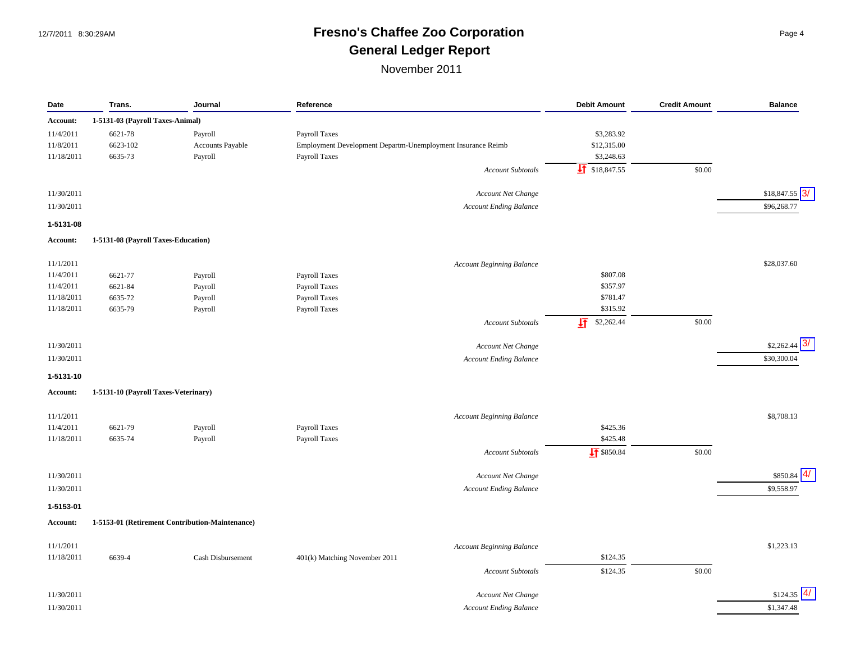## 12/7/2011 8:30:29AM **Fresno's Chaffee Zoo Corporation** Page 4 **General Ledger Report**

| Date       | Trans.                               | Journal                                         | Reference                                                   | <b>Debit Amount</b>       | <b>Credit Amount</b> | <b>Balance</b>               |
|------------|--------------------------------------|-------------------------------------------------|-------------------------------------------------------------|---------------------------|----------------------|------------------------------|
| Account:   | 1-5131-03 (Payroll Taxes-Animal)     |                                                 |                                                             |                           |                      |                              |
| 11/4/2011  | 6621-78                              | Payroll                                         | Payroll Taxes                                               | \$3,283.92                |                      |                              |
| 11/8/2011  | 6623-102                             | Accounts Payable                                | Employment Development Departm-Unemployment Insurance Reimb | \$12,315.00               |                      |                              |
| 11/18/2011 | 6635-73                              | Payroll                                         | <b>Payroll Taxes</b>                                        | \$3,248.63                |                      |                              |
|            |                                      |                                                 | <b>Account Subtotals</b>                                    | $\frac{1}{2}$ \$18,847.55 | \$0.00               |                              |
|            |                                      |                                                 |                                                             |                           |                      |                              |
| 11/30/2011 |                                      |                                                 | Account Net Change                                          |                           |                      | 3/<br>\$18,847.55            |
| 11/30/2011 |                                      |                                                 | <b>Account Ending Balance</b>                               |                           |                      | \$96,268.77                  |
| 1-5131-08  |                                      |                                                 |                                                             |                           |                      |                              |
| Account:   | 1-5131-08 (Payroll Taxes-Education)  |                                                 |                                                             |                           |                      |                              |
|            |                                      |                                                 |                                                             |                           |                      |                              |
| 11/1/2011  |                                      |                                                 | <b>Account Beginning Balance</b>                            |                           |                      | \$28,037.60                  |
| 11/4/2011  | 6621-77                              | Payroll                                         | Payroll Taxes                                               | \$807.08                  |                      |                              |
| 11/4/2011  | 6621-84                              | Payroll                                         | Payroll Taxes                                               | \$357.97                  |                      |                              |
| 11/18/2011 | 6635-72                              | Payroll                                         | Payroll Taxes                                               | \$781.47                  |                      |                              |
| 11/18/2011 | 6635-79                              | Payroll                                         | Payroll Taxes                                               | \$315.92                  |                      |                              |
|            |                                      |                                                 | <b>Account Subtotals</b>                                    | 圷<br>\$2,262.44           | \$0.00               |                              |
| 11/30/2011 |                                      |                                                 | Account Net Change                                          |                           |                      | \$2,262.44                   |
| 11/30/2011 |                                      |                                                 | Account Ending Balance                                      |                           |                      | \$30,300.04                  |
| 1-5131-10  |                                      |                                                 |                                                             |                           |                      |                              |
| Account:   | 1-5131-10 (Payroll Taxes-Veterinary) |                                                 |                                                             |                           |                      |                              |
|            |                                      |                                                 |                                                             |                           |                      |                              |
| 11/1/2011  |                                      |                                                 | Account Beginning Balance                                   |                           |                      | \$8,708.13                   |
| 11/4/2011  | 6621-79                              | Payroll                                         | <b>Payroll Taxes</b>                                        | \$425.36                  |                      |                              |
| 11/18/2011 | 6635-74                              | Payroll                                         | Payroll Taxes                                               | \$425.48                  |                      |                              |
|            |                                      |                                                 | <b>Account Subtotals</b>                                    | $\sqrt{4}$ \$850.84       | \$0.00               |                              |
| 11/30/2011 |                                      |                                                 | Account Net Change                                          |                           |                      | $\vert 4 \vert$<br>\$850.84  |
|            |                                      |                                                 |                                                             |                           |                      |                              |
| 11/30/2011 |                                      |                                                 | <b>Account Ending Balance</b>                               |                           |                      | \$9,558.97                   |
| 1-5153-01  |                                      |                                                 |                                                             |                           |                      |                              |
| Account:   |                                      | 1-5153-01 (Retirement Contribution-Maintenance) |                                                             |                           |                      |                              |
| 11/1/2011  |                                      |                                                 | <b>Account Beginning Balance</b>                            |                           |                      | \$1,223.13                   |
| 11/18/2011 | 6639-4                               | Cash Disbursement                               | 401(k) Matching November 2011                               | \$124.35                  |                      |                              |
|            |                                      |                                                 | <b>Account Subtotals</b>                                    | \$124.35                  | \$0.00               |                              |
| 11/30/2011 |                                      |                                                 | <b>Account Net Change</b>                                   |                           |                      | $\left 4\right $<br>\$124.35 |
| 11/30/2011 |                                      |                                                 | <b>Account Ending Balance</b>                               |                           |                      | \$1,347.48                   |
|            |                                      |                                                 |                                                             |                           |                      |                              |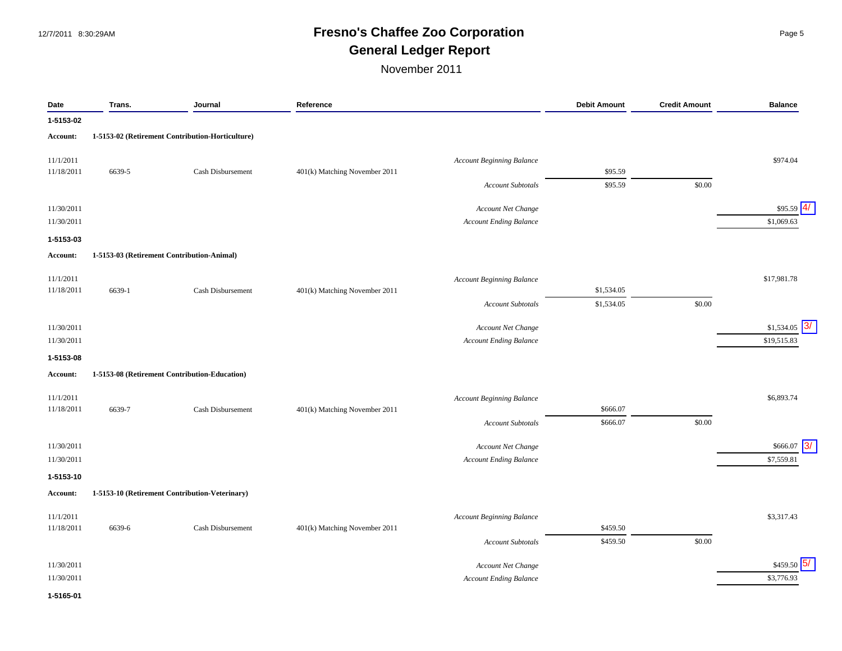## 12/7/2011 8:30:29AM **Fresno's Chaffee Zoo Corporation** Page 5 **General Ledger Report**

November 2011

| Date       | Trans. | Journal                                          | Reference                     |                                  | <b>Debit Amount</b> | <b>Credit Amount</b> | <b>Balance</b>   |
|------------|--------|--------------------------------------------------|-------------------------------|----------------------------------|---------------------|----------------------|------------------|
| 1-5153-02  |        |                                                  |                               |                                  |                     |                      |                  |
| Account:   |        | 1-5153-02 (Retirement Contribution-Horticulture) |                               |                                  |                     |                      |                  |
| 11/1/2011  |        |                                                  |                               | <b>Account Beginning Balance</b> |                     |                      | \$974.04         |
| 11/18/2011 | 6639-5 | Cash Disbursement                                | 401(k) Matching November 2011 |                                  | \$95.59             |                      |                  |
|            |        |                                                  |                               | <b>Account Subtotals</b>         | \$95.59             | \$0.00               |                  |
| 11/30/2011 |        |                                                  |                               | Account Net Change               |                     |                      | 4/<br>\$95.59    |
| 11/30/2011 |        |                                                  |                               | <b>Account Ending Balance</b>    |                     |                      | \$1,069.63       |
| 1-5153-03  |        |                                                  |                               |                                  |                     |                      |                  |
| Account:   |        | 1-5153-03 (Retirement Contribution-Animal)       |                               |                                  |                     |                      |                  |
| 11/1/2011  |        |                                                  |                               | <b>Account Beginning Balance</b> |                     |                      | \$17,981.78      |
| 11/18/2011 | 6639-1 | Cash Disbursement                                | 401(k) Matching November 2011 |                                  | \$1,534.05          |                      |                  |
|            |        |                                                  |                               | <b>Account Subtotals</b>         | \$1,534.05          | \$0.00               |                  |
| 11/30/2011 |        |                                                  |                               | Account Net Change               |                     |                      | 3/<br>\$1,534.05 |
| 11/30/2011 |        |                                                  |                               | <b>Account Ending Balance</b>    |                     |                      | \$19,515.83      |
| 1-5153-08  |        |                                                  |                               |                                  |                     |                      |                  |
| Account:   |        | 1-5153-08 (Retirement Contribution-Education)    |                               |                                  |                     |                      |                  |
| 11/1/2011  |        |                                                  |                               | <b>Account Beginning Balance</b> |                     |                      | \$6,893.74       |
| 11/18/2011 | 6639-7 | Cash Disbursement                                | 401(k) Matching November 2011 |                                  | \$666.07            |                      |                  |
|            |        |                                                  |                               | <b>Account Subtotals</b>         | \$666.07            | \$0.00               |                  |
| 11/30/2011 |        |                                                  |                               | Account Net Change               |                     |                      | 3/<br>\$666.07   |
| 11/30/2011 |        |                                                  |                               | <b>Account Ending Balance</b>    |                     |                      | \$7,559.81       |
| 1-5153-10  |        |                                                  |                               |                                  |                     |                      |                  |
| Account:   |        | 1-5153-10 (Retirement Contribution-Veterinary)   |                               |                                  |                     |                      |                  |
| 11/1/2011  |        |                                                  |                               | <b>Account Beginning Balance</b> |                     |                      | \$3,317.43       |
| 11/18/2011 | 6639-6 | Cash Disbursement                                | 401(k) Matching November 2011 |                                  | \$459.50            |                      |                  |
|            |        |                                                  |                               | <b>Account Subtotals</b>         | \$459.50            | \$0.00               |                  |
| 11/30/2011 |        |                                                  |                               | Account Net Change               |                     |                      | 15/<br>\$459.50  |
| 11/30/2011 |        |                                                  |                               | <b>Account Ending Balance</b>    |                     |                      | \$3,776.93       |

#### **1-5165-01**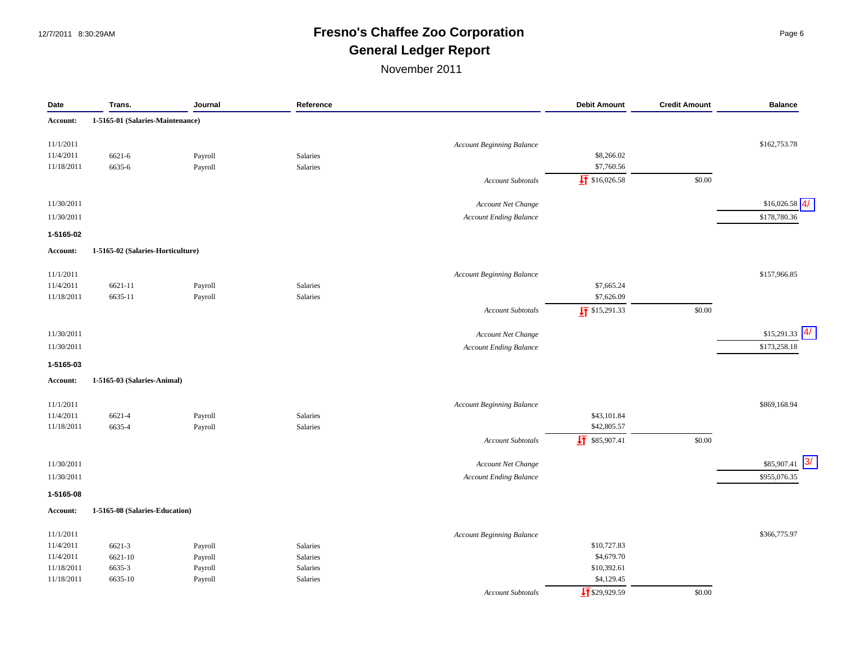### 12/7/2011 8:30:29AM **Fresno's Chaffee Zoo Corporation** Page 6 **General Ledger Report**

| Date       | Trans.                            | Journal | Reference |                                  | <b>Debit Amount</b>        | <b>Credit Amount</b> | <b>Balance</b>    |
|------------|-----------------------------------|---------|-----------|----------------------------------|----------------------------|----------------------|-------------------|
| Account:   | 1-5165-01 (Salaries-Maintenance)  |         |           |                                  |                            |                      |                   |
| 11/1/2011  |                                   |         |           | Account Beginning Balance        |                            |                      | \$162,753.78      |
| 11/4/2011  | 6621-6                            | Payroll | Salaries  |                                  | \$8,266.02                 |                      |                   |
| 11/18/2011 | 6635-6                            | Payroll | Salaries  |                                  | \$7,760.56                 |                      |                   |
|            |                                   |         |           | <b>Account Subtotals</b>         | $\frac{1}{2}$ \$16,026.58  | \$0.00               |                   |
| 11/30/2011 |                                   |         |           | Account Net Change               |                            |                      | 4/<br>\$16,026.58 |
|            |                                   |         |           |                                  |                            |                      |                   |
| 11/30/2011 |                                   |         |           | <b>Account Ending Balance</b>    |                            |                      | \$178,780.36      |
| 1-5165-02  |                                   |         |           |                                  |                            |                      |                   |
| Account:   | 1-5165-02 (Salaries-Horticulture) |         |           |                                  |                            |                      |                   |
| 11/1/2011  |                                   |         |           | <b>Account Beginning Balance</b> |                            |                      | \$157,966.85      |
| 11/4/2011  | 6621-11                           | Payroll | Salaries  |                                  | \$7,665.24                 |                      |                   |
| 11/18/2011 | 6635-11                           | Payroll | Salaries  |                                  | \$7,626.09                 |                      |                   |
|            |                                   |         |           | <b>Account Subtotals</b>         | $\sqrt{1}$ \$15,291.33     | \$0.00               |                   |
| 11/30/2011 |                                   |         |           | Account Net Change               |                            |                      | $$15,291.33$ 4    |
| 11/30/2011 |                                   |         |           | <b>Account Ending Balance</b>    |                            |                      | \$173,258.18      |
| 1-5165-03  |                                   |         |           |                                  |                            |                      |                   |
| Account:   | 1-5165-03 (Salaries-Animal)       |         |           |                                  |                            |                      |                   |
|            |                                   |         |           |                                  |                            |                      |                   |
| 11/1/2011  |                                   |         |           | <b>Account Beginning Balance</b> |                            |                      | \$869,168.94      |
| 11/4/2011  | 6621-4                            | Payroll | Salaries  |                                  | \$43,101.84<br>\$42,805.57 |                      |                   |
| 11/18/2011 | 6635-4                            | Payroll | Salaries  |                                  |                            |                      |                   |
|            |                                   |         |           | <b>Account Subtotals</b>         | $\frac{1}{2}$ \$85,907.41  | \$0.00               |                   |
| 11/30/2011 |                                   |         |           | Account Net Change               |                            |                      | 3/<br>\$85,907.41 |
| 11/30/2011 |                                   |         |           | <b>Account Ending Balance</b>    |                            |                      | \$955,076.35      |
| 1-5165-08  |                                   |         |           |                                  |                            |                      |                   |
| Account:   | 1-5165-08 (Salaries-Education)    |         |           |                                  |                            |                      |                   |
| 11/1/2011  |                                   |         |           | <b>Account Beginning Balance</b> |                            |                      | \$366,775.97      |
| 11/4/2011  | 6621-3                            | Payroll | Salaries  |                                  | \$10,727.83                |                      |                   |
| 11/4/2011  | 6621-10                           | Payroll | Salaries  |                                  | \$4,679.70                 |                      |                   |
| 11/18/2011 | 6635-3                            | Payroll | Salaries  |                                  | \$10,392.61                |                      |                   |
| 11/18/2011 | 6635-10                           | Payroll | Salaries  |                                  | \$4,129.45                 |                      |                   |
|            |                                   |         |           | <b>Account Subtotals</b>         | $\sqrt{15}$ \$29,929.59    | \$0.00               |                   |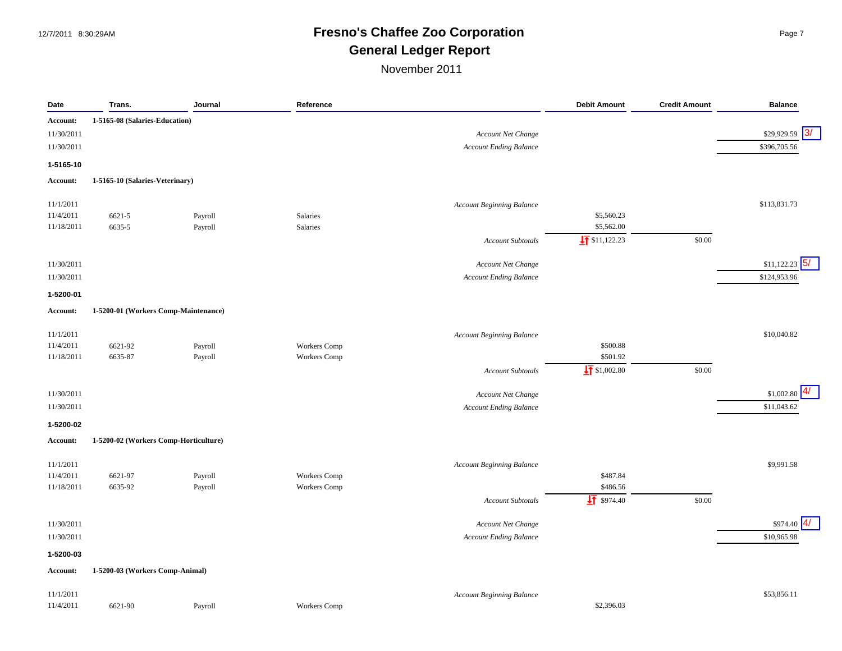## 12/7/2011 8:30:29AM **Fresno's Chaffee Zoo Corporation** Page 7 **General Ledger Report**

| 1-5165-08 (Salaries-Education)<br>Account:<br>11/30/2011<br>Account Net Change<br>11/30/2011<br><b>Account Ending Balance</b><br>1-5165-10<br>1-5165-10 (Salaries-Veterinary)<br>Account:<br>\$113,831.73<br>11/1/2011<br><b>Account Beginning Balance</b><br>11/4/2011<br>6621-5<br>Salaries<br>\$5,560.23<br>Payroll<br>Salaries<br>\$5,562.00<br>11/18/2011<br>6635-5<br>Payroll<br>$\frac{1}{2}$ \$11,122.23<br>\$0.00<br><b>Account Subtotals</b><br>\$11,122.23<br>11/30/2011<br>Account Net Change<br>\$124,953.96<br>11/30/2011<br><b>Account Ending Balance</b><br>1-5200-01<br>1-5200-01 (Workers Comp-Maintenance)<br>Account:<br>11/1/2011<br><b>Account Beginning Balance</b><br>11/4/2011<br>6621-92<br>Payroll<br>Workers Comp<br>\$500.88<br>\$501.92<br>11/18/2011<br>6635-87<br>Payroll<br>Workers Comp<br>$\frac{1}{2}$ \$1,002.80<br>\$0.00<br><b>Account Subtotals</b><br>11/30/2011<br>Account Net Change<br>11/30/2011<br><b>Account Ending Balance</b><br>1-5200-02<br>1-5200-02 (Workers Comp-Horticulture)<br>Account:<br>11/1/2011<br><b>Account Beginning Balance</b><br>11/4/2011<br>\$487.84<br>6621-97<br>Workers Comp<br>Payroll<br>\$486.56<br>11/18/2011<br>Workers Comp<br>6635-92<br>Payroll<br>$\sqrt{11}$ \$974.40<br>\$0.00<br><b>Account Subtotals</b><br>11/30/2011<br>Account Net Change<br>11/30/2011<br><b>Account Ending Balance</b><br>1-5200-03<br>1-5200-03 (Workers Comp-Animal)<br>Account:<br>11/1/2011<br><b>Account Beginning Balance</b> | Date      | Trans.  | Journal | Reference    | <b>Debit Amount</b> | <b>Credit Amount</b> | <b>Balance</b>    |
|------------------------------------------------------------------------------------------------------------------------------------------------------------------------------------------------------------------------------------------------------------------------------------------------------------------------------------------------------------------------------------------------------------------------------------------------------------------------------------------------------------------------------------------------------------------------------------------------------------------------------------------------------------------------------------------------------------------------------------------------------------------------------------------------------------------------------------------------------------------------------------------------------------------------------------------------------------------------------------------------------------------------------------------------------------------------------------------------------------------------------------------------------------------------------------------------------------------------------------------------------------------------------------------------------------------------------------------------------------------------------------------------------------------------------------------------------------------------------------------------|-----------|---------|---------|--------------|---------------------|----------------------|-------------------|
|                                                                                                                                                                                                                                                                                                                                                                                                                                                                                                                                                                                                                                                                                                                                                                                                                                                                                                                                                                                                                                                                                                                                                                                                                                                                                                                                                                                                                                                                                                |           |         |         |              |                     |                      |                   |
|                                                                                                                                                                                                                                                                                                                                                                                                                                                                                                                                                                                                                                                                                                                                                                                                                                                                                                                                                                                                                                                                                                                                                                                                                                                                                                                                                                                                                                                                                                |           |         |         |              |                     |                      | 3/<br>\$29,929.59 |
|                                                                                                                                                                                                                                                                                                                                                                                                                                                                                                                                                                                                                                                                                                                                                                                                                                                                                                                                                                                                                                                                                                                                                                                                                                                                                                                                                                                                                                                                                                |           |         |         |              |                     |                      | \$396,705.56      |
|                                                                                                                                                                                                                                                                                                                                                                                                                                                                                                                                                                                                                                                                                                                                                                                                                                                                                                                                                                                                                                                                                                                                                                                                                                                                                                                                                                                                                                                                                                |           |         |         |              |                     |                      |                   |
|                                                                                                                                                                                                                                                                                                                                                                                                                                                                                                                                                                                                                                                                                                                                                                                                                                                                                                                                                                                                                                                                                                                                                                                                                                                                                                                                                                                                                                                                                                |           |         |         |              |                     |                      |                   |
|                                                                                                                                                                                                                                                                                                                                                                                                                                                                                                                                                                                                                                                                                                                                                                                                                                                                                                                                                                                                                                                                                                                                                                                                                                                                                                                                                                                                                                                                                                |           |         |         |              |                     |                      |                   |
|                                                                                                                                                                                                                                                                                                                                                                                                                                                                                                                                                                                                                                                                                                                                                                                                                                                                                                                                                                                                                                                                                                                                                                                                                                                                                                                                                                                                                                                                                                |           |         |         |              |                     |                      |                   |
|                                                                                                                                                                                                                                                                                                                                                                                                                                                                                                                                                                                                                                                                                                                                                                                                                                                                                                                                                                                                                                                                                                                                                                                                                                                                                                                                                                                                                                                                                                |           |         |         |              |                     |                      |                   |
|                                                                                                                                                                                                                                                                                                                                                                                                                                                                                                                                                                                                                                                                                                                                                                                                                                                                                                                                                                                                                                                                                                                                                                                                                                                                                                                                                                                                                                                                                                |           |         |         |              |                     |                      |                   |
|                                                                                                                                                                                                                                                                                                                                                                                                                                                                                                                                                                                                                                                                                                                                                                                                                                                                                                                                                                                                                                                                                                                                                                                                                                                                                                                                                                                                                                                                                                |           |         |         |              |                     |                      | 5/                |
|                                                                                                                                                                                                                                                                                                                                                                                                                                                                                                                                                                                                                                                                                                                                                                                                                                                                                                                                                                                                                                                                                                                                                                                                                                                                                                                                                                                                                                                                                                |           |         |         |              |                     |                      |                   |
|                                                                                                                                                                                                                                                                                                                                                                                                                                                                                                                                                                                                                                                                                                                                                                                                                                                                                                                                                                                                                                                                                                                                                                                                                                                                                                                                                                                                                                                                                                |           |         |         |              |                     |                      |                   |
|                                                                                                                                                                                                                                                                                                                                                                                                                                                                                                                                                                                                                                                                                                                                                                                                                                                                                                                                                                                                                                                                                                                                                                                                                                                                                                                                                                                                                                                                                                |           |         |         |              |                     |                      |                   |
|                                                                                                                                                                                                                                                                                                                                                                                                                                                                                                                                                                                                                                                                                                                                                                                                                                                                                                                                                                                                                                                                                                                                                                                                                                                                                                                                                                                                                                                                                                |           |         |         |              |                     |                      |                   |
|                                                                                                                                                                                                                                                                                                                                                                                                                                                                                                                                                                                                                                                                                                                                                                                                                                                                                                                                                                                                                                                                                                                                                                                                                                                                                                                                                                                                                                                                                                |           |         |         |              |                     |                      | \$10,040.82       |
|                                                                                                                                                                                                                                                                                                                                                                                                                                                                                                                                                                                                                                                                                                                                                                                                                                                                                                                                                                                                                                                                                                                                                                                                                                                                                                                                                                                                                                                                                                |           |         |         |              |                     |                      |                   |
|                                                                                                                                                                                                                                                                                                                                                                                                                                                                                                                                                                                                                                                                                                                                                                                                                                                                                                                                                                                                                                                                                                                                                                                                                                                                                                                                                                                                                                                                                                |           |         |         |              |                     |                      |                   |
|                                                                                                                                                                                                                                                                                                                                                                                                                                                                                                                                                                                                                                                                                                                                                                                                                                                                                                                                                                                                                                                                                                                                                                                                                                                                                                                                                                                                                                                                                                |           |         |         |              |                     |                      |                   |
|                                                                                                                                                                                                                                                                                                                                                                                                                                                                                                                                                                                                                                                                                                                                                                                                                                                                                                                                                                                                                                                                                                                                                                                                                                                                                                                                                                                                                                                                                                |           |         |         |              |                     |                      | \$1,002.80        |
|                                                                                                                                                                                                                                                                                                                                                                                                                                                                                                                                                                                                                                                                                                                                                                                                                                                                                                                                                                                                                                                                                                                                                                                                                                                                                                                                                                                                                                                                                                |           |         |         |              |                     |                      | \$11,043.62       |
|                                                                                                                                                                                                                                                                                                                                                                                                                                                                                                                                                                                                                                                                                                                                                                                                                                                                                                                                                                                                                                                                                                                                                                                                                                                                                                                                                                                                                                                                                                |           |         |         |              |                     |                      |                   |
|                                                                                                                                                                                                                                                                                                                                                                                                                                                                                                                                                                                                                                                                                                                                                                                                                                                                                                                                                                                                                                                                                                                                                                                                                                                                                                                                                                                                                                                                                                |           |         |         |              |                     |                      |                   |
|                                                                                                                                                                                                                                                                                                                                                                                                                                                                                                                                                                                                                                                                                                                                                                                                                                                                                                                                                                                                                                                                                                                                                                                                                                                                                                                                                                                                                                                                                                |           |         |         |              |                     |                      | \$9,991.58        |
|                                                                                                                                                                                                                                                                                                                                                                                                                                                                                                                                                                                                                                                                                                                                                                                                                                                                                                                                                                                                                                                                                                                                                                                                                                                                                                                                                                                                                                                                                                |           |         |         |              |                     |                      |                   |
|                                                                                                                                                                                                                                                                                                                                                                                                                                                                                                                                                                                                                                                                                                                                                                                                                                                                                                                                                                                                                                                                                                                                                                                                                                                                                                                                                                                                                                                                                                |           |         |         |              |                     |                      |                   |
|                                                                                                                                                                                                                                                                                                                                                                                                                                                                                                                                                                                                                                                                                                                                                                                                                                                                                                                                                                                                                                                                                                                                                                                                                                                                                                                                                                                                                                                                                                |           |         |         |              |                     |                      |                   |
|                                                                                                                                                                                                                                                                                                                                                                                                                                                                                                                                                                                                                                                                                                                                                                                                                                                                                                                                                                                                                                                                                                                                                                                                                                                                                                                                                                                                                                                                                                |           |         |         |              |                     |                      | \$974.40          |
|                                                                                                                                                                                                                                                                                                                                                                                                                                                                                                                                                                                                                                                                                                                                                                                                                                                                                                                                                                                                                                                                                                                                                                                                                                                                                                                                                                                                                                                                                                |           |         |         |              |                     |                      | \$10,965.98       |
|                                                                                                                                                                                                                                                                                                                                                                                                                                                                                                                                                                                                                                                                                                                                                                                                                                                                                                                                                                                                                                                                                                                                                                                                                                                                                                                                                                                                                                                                                                |           |         |         |              |                     |                      |                   |
|                                                                                                                                                                                                                                                                                                                                                                                                                                                                                                                                                                                                                                                                                                                                                                                                                                                                                                                                                                                                                                                                                                                                                                                                                                                                                                                                                                                                                                                                                                |           |         |         |              |                     |                      |                   |
|                                                                                                                                                                                                                                                                                                                                                                                                                                                                                                                                                                                                                                                                                                                                                                                                                                                                                                                                                                                                                                                                                                                                                                                                                                                                                                                                                                                                                                                                                                |           |         |         |              |                     |                      | \$53,856.11       |
|                                                                                                                                                                                                                                                                                                                                                                                                                                                                                                                                                                                                                                                                                                                                                                                                                                                                                                                                                                                                                                                                                                                                                                                                                                                                                                                                                                                                                                                                                                | 11/4/2011 | 6621-90 | Payroll | Workers Comp | \$2,396.03          |                      |                   |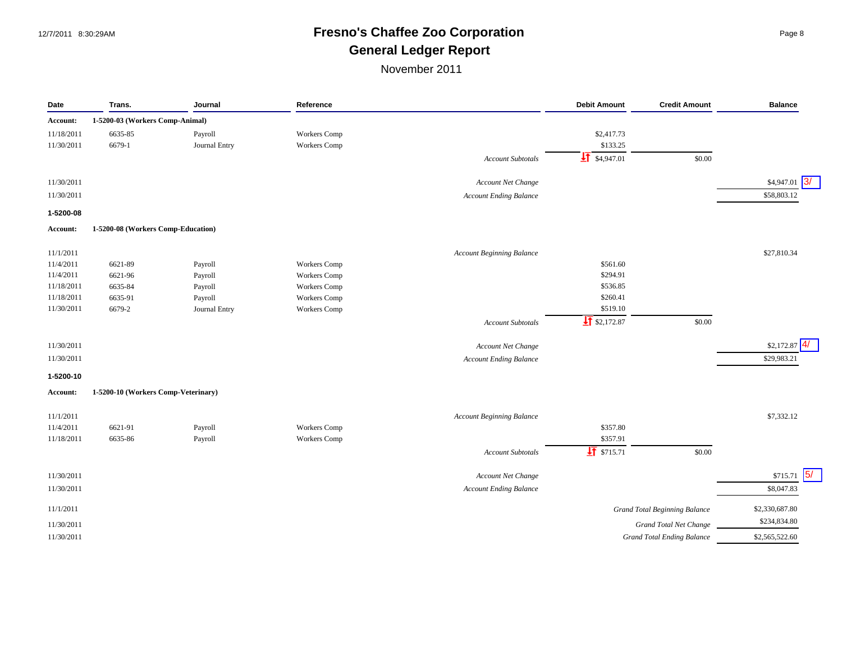# 12/7/2011 8:30:29AM **Fresno's Chaffee Zoo Corporation** Page 8 **General Ledger Report**

| 1-5200-03 (Workers Comp-Animal)<br>6635-85<br>Workers Comp<br>\$2,417.73<br>Payroll<br>6679-1<br>Journal Entry<br><b>Workers</b> Comp<br>\$133.25<br>$\frac{1}{2}$ \$4,947.01<br>\$0.00<br>Account Subtotals<br> 3/<br>\$4,947.01<br>Account Net Change<br>\$58,803.12<br><b>Account Ending Balance</b><br>1-5200-08 (Workers Comp-Education)<br>\$27,810.34<br>11/1/2011<br><b>Account Beginning Balance</b><br>11/4/2011<br>6621-89<br><b>Workers</b> Comp<br>\$561.60<br>Payroll<br>Workers Comp<br>\$294.91<br>11/4/2011<br>6621-96<br>Payroll<br>6635-84<br>Workers Comp<br>\$536.85<br>Payroll<br>\$260.41<br>6635-91<br>Workers Comp<br>Payroll<br>6679-2<br>Journal Entry<br><b>Workers</b> Comp<br>\$519.10<br>$\frac{1}{2}$ \$2,172.87<br>\$0.00<br><b>Account Subtotals</b><br>4/<br>11/30/2011<br>\$2,172.87<br>Account Net Change<br>11/30/2011<br><b>Account Ending Balance</b><br>\$29,983.21<br>1-5200-10 (Workers Comp-Veterinary)<br><b>Account Beginning Balance</b><br>\$7,332.12<br>Workers Comp<br>\$357.80<br>6621-91<br>Payroll<br>\$357.91<br><b>Workers</b> Comp<br>6635-86<br>Payroll<br>$\frac{1}{21}$ \$715.71<br>\$0.00<br><b>Account Subtotals</b><br>$\sqrt{5/2}$<br>\$715.71<br>11/30/2011<br>Account Net Change<br><b>Account Ending Balance</b><br>\$8,047.83<br>11/30/2011<br>\$2,330,687.80<br><b>Grand Total Beginning Balance</b><br>\$234,834.80<br><b>Grand Total Net Change</b><br><b>Grand Total Ending Balance</b><br>\$2,565,522.60 | Date       | Trans. | Journal | Reference | <b>Debit Amount</b> | <b>Credit Amount</b> | <b>Balance</b> |
|----------------------------------------------------------------------------------------------------------------------------------------------------------------------------------------------------------------------------------------------------------------------------------------------------------------------------------------------------------------------------------------------------------------------------------------------------------------------------------------------------------------------------------------------------------------------------------------------------------------------------------------------------------------------------------------------------------------------------------------------------------------------------------------------------------------------------------------------------------------------------------------------------------------------------------------------------------------------------------------------------------------------------------------------------------------------------------------------------------------------------------------------------------------------------------------------------------------------------------------------------------------------------------------------------------------------------------------------------------------------------------------------------------------------------------------------------------------------------------|------------|--------|---------|-----------|---------------------|----------------------|----------------|
|                                                                                                                                                                                                                                                                                                                                                                                                                                                                                                                                                                                                                                                                                                                                                                                                                                                                                                                                                                                                                                                                                                                                                                                                                                                                                                                                                                                                                                                                                  | Account:   |        |         |           |                     |                      |                |
|                                                                                                                                                                                                                                                                                                                                                                                                                                                                                                                                                                                                                                                                                                                                                                                                                                                                                                                                                                                                                                                                                                                                                                                                                                                                                                                                                                                                                                                                                  | 11/18/2011 |        |         |           |                     |                      |                |
|                                                                                                                                                                                                                                                                                                                                                                                                                                                                                                                                                                                                                                                                                                                                                                                                                                                                                                                                                                                                                                                                                                                                                                                                                                                                                                                                                                                                                                                                                  | 11/30/2011 |        |         |           |                     |                      |                |
|                                                                                                                                                                                                                                                                                                                                                                                                                                                                                                                                                                                                                                                                                                                                                                                                                                                                                                                                                                                                                                                                                                                                                                                                                                                                                                                                                                                                                                                                                  |            |        |         |           |                     |                      |                |
|                                                                                                                                                                                                                                                                                                                                                                                                                                                                                                                                                                                                                                                                                                                                                                                                                                                                                                                                                                                                                                                                                                                                                                                                                                                                                                                                                                                                                                                                                  |            |        |         |           |                     |                      |                |
|                                                                                                                                                                                                                                                                                                                                                                                                                                                                                                                                                                                                                                                                                                                                                                                                                                                                                                                                                                                                                                                                                                                                                                                                                                                                                                                                                                                                                                                                                  | 11/30/2011 |        |         |           |                     |                      |                |
|                                                                                                                                                                                                                                                                                                                                                                                                                                                                                                                                                                                                                                                                                                                                                                                                                                                                                                                                                                                                                                                                                                                                                                                                                                                                                                                                                                                                                                                                                  | 11/30/2011 |        |         |           |                     |                      |                |
|                                                                                                                                                                                                                                                                                                                                                                                                                                                                                                                                                                                                                                                                                                                                                                                                                                                                                                                                                                                                                                                                                                                                                                                                                                                                                                                                                                                                                                                                                  | 1-5200-08  |        |         |           |                     |                      |                |
|                                                                                                                                                                                                                                                                                                                                                                                                                                                                                                                                                                                                                                                                                                                                                                                                                                                                                                                                                                                                                                                                                                                                                                                                                                                                                                                                                                                                                                                                                  | Account:   |        |         |           |                     |                      |                |
|                                                                                                                                                                                                                                                                                                                                                                                                                                                                                                                                                                                                                                                                                                                                                                                                                                                                                                                                                                                                                                                                                                                                                                                                                                                                                                                                                                                                                                                                                  |            |        |         |           |                     |                      |                |
|                                                                                                                                                                                                                                                                                                                                                                                                                                                                                                                                                                                                                                                                                                                                                                                                                                                                                                                                                                                                                                                                                                                                                                                                                                                                                                                                                                                                                                                                                  |            |        |         |           |                     |                      |                |
|                                                                                                                                                                                                                                                                                                                                                                                                                                                                                                                                                                                                                                                                                                                                                                                                                                                                                                                                                                                                                                                                                                                                                                                                                                                                                                                                                                                                                                                                                  |            |        |         |           |                     |                      |                |
|                                                                                                                                                                                                                                                                                                                                                                                                                                                                                                                                                                                                                                                                                                                                                                                                                                                                                                                                                                                                                                                                                                                                                                                                                                                                                                                                                                                                                                                                                  | 11/18/2011 |        |         |           |                     |                      |                |
|                                                                                                                                                                                                                                                                                                                                                                                                                                                                                                                                                                                                                                                                                                                                                                                                                                                                                                                                                                                                                                                                                                                                                                                                                                                                                                                                                                                                                                                                                  | 11/18/2011 |        |         |           |                     |                      |                |
|                                                                                                                                                                                                                                                                                                                                                                                                                                                                                                                                                                                                                                                                                                                                                                                                                                                                                                                                                                                                                                                                                                                                                                                                                                                                                                                                                                                                                                                                                  | 11/30/2011 |        |         |           |                     |                      |                |
|                                                                                                                                                                                                                                                                                                                                                                                                                                                                                                                                                                                                                                                                                                                                                                                                                                                                                                                                                                                                                                                                                                                                                                                                                                                                                                                                                                                                                                                                                  |            |        |         |           |                     |                      |                |
|                                                                                                                                                                                                                                                                                                                                                                                                                                                                                                                                                                                                                                                                                                                                                                                                                                                                                                                                                                                                                                                                                                                                                                                                                                                                                                                                                                                                                                                                                  |            |        |         |           |                     |                      |                |
|                                                                                                                                                                                                                                                                                                                                                                                                                                                                                                                                                                                                                                                                                                                                                                                                                                                                                                                                                                                                                                                                                                                                                                                                                                                                                                                                                                                                                                                                                  |            |        |         |           |                     |                      |                |
|                                                                                                                                                                                                                                                                                                                                                                                                                                                                                                                                                                                                                                                                                                                                                                                                                                                                                                                                                                                                                                                                                                                                                                                                                                                                                                                                                                                                                                                                                  |            |        |         |           |                     |                      |                |
|                                                                                                                                                                                                                                                                                                                                                                                                                                                                                                                                                                                                                                                                                                                                                                                                                                                                                                                                                                                                                                                                                                                                                                                                                                                                                                                                                                                                                                                                                  | 1-5200-10  |        |         |           |                     |                      |                |
|                                                                                                                                                                                                                                                                                                                                                                                                                                                                                                                                                                                                                                                                                                                                                                                                                                                                                                                                                                                                                                                                                                                                                                                                                                                                                                                                                                                                                                                                                  | Account:   |        |         |           |                     |                      |                |
|                                                                                                                                                                                                                                                                                                                                                                                                                                                                                                                                                                                                                                                                                                                                                                                                                                                                                                                                                                                                                                                                                                                                                                                                                                                                                                                                                                                                                                                                                  | 11/1/2011  |        |         |           |                     |                      |                |
|                                                                                                                                                                                                                                                                                                                                                                                                                                                                                                                                                                                                                                                                                                                                                                                                                                                                                                                                                                                                                                                                                                                                                                                                                                                                                                                                                                                                                                                                                  | 11/4/2011  |        |         |           |                     |                      |                |
|                                                                                                                                                                                                                                                                                                                                                                                                                                                                                                                                                                                                                                                                                                                                                                                                                                                                                                                                                                                                                                                                                                                                                                                                                                                                                                                                                                                                                                                                                  | 11/18/2011 |        |         |           |                     |                      |                |
|                                                                                                                                                                                                                                                                                                                                                                                                                                                                                                                                                                                                                                                                                                                                                                                                                                                                                                                                                                                                                                                                                                                                                                                                                                                                                                                                                                                                                                                                                  |            |        |         |           |                     |                      |                |
|                                                                                                                                                                                                                                                                                                                                                                                                                                                                                                                                                                                                                                                                                                                                                                                                                                                                                                                                                                                                                                                                                                                                                                                                                                                                                                                                                                                                                                                                                  |            |        |         |           |                     |                      |                |
|                                                                                                                                                                                                                                                                                                                                                                                                                                                                                                                                                                                                                                                                                                                                                                                                                                                                                                                                                                                                                                                                                                                                                                                                                                                                                                                                                                                                                                                                                  |            |        |         |           |                     |                      |                |
|                                                                                                                                                                                                                                                                                                                                                                                                                                                                                                                                                                                                                                                                                                                                                                                                                                                                                                                                                                                                                                                                                                                                                                                                                                                                                                                                                                                                                                                                                  |            |        |         |           |                     |                      |                |
|                                                                                                                                                                                                                                                                                                                                                                                                                                                                                                                                                                                                                                                                                                                                                                                                                                                                                                                                                                                                                                                                                                                                                                                                                                                                                                                                                                                                                                                                                  | 11/1/2011  |        |         |           |                     |                      |                |
|                                                                                                                                                                                                                                                                                                                                                                                                                                                                                                                                                                                                                                                                                                                                                                                                                                                                                                                                                                                                                                                                                                                                                                                                                                                                                                                                                                                                                                                                                  | 11/30/2011 |        |         |           |                     |                      |                |
|                                                                                                                                                                                                                                                                                                                                                                                                                                                                                                                                                                                                                                                                                                                                                                                                                                                                                                                                                                                                                                                                                                                                                                                                                                                                                                                                                                                                                                                                                  | 11/30/2011 |        |         |           |                     |                      |                |